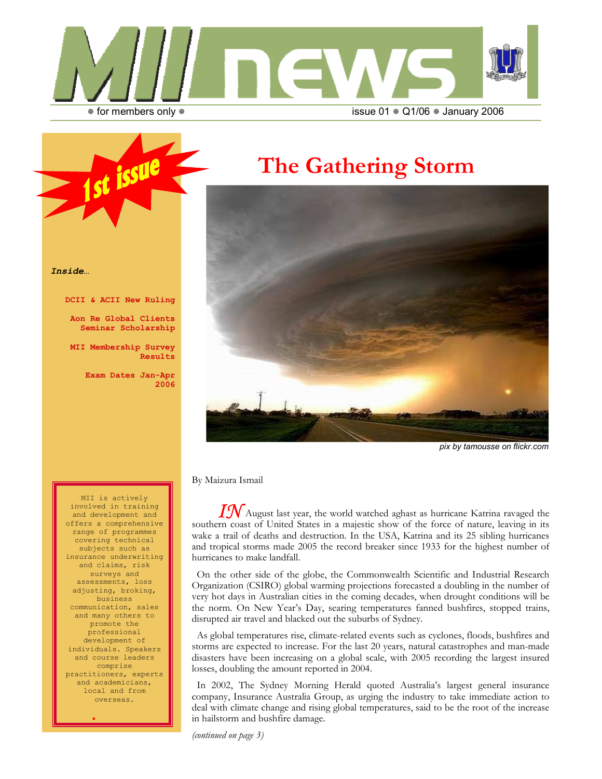

# The Gathering Storm



pix by tamousse on flickr.com

By Maizura Ismail

 $I\hspace{-0.1cm} \mathcal{N}$ August last year, the world watched aghast as hurricane Katrina ravaged the southern coast of United States in a majestic show of the force of nature, leaving in its wake a trail of deaths and destruction. In the USA, Katrina and its 25 sibling hurricanes and tropical storms made 2005 the record breaker since 1933 for the highest number of hurricanes to make landfall.

 On the other side of the globe, the Commonwealth Scientific and Industrial Research Organization (CSIRO) global warming projections forecasted a doubling in the number of very hot days in Australian cities in the coming decades, when drought conditions will be the norm. On New Year's Day, searing temperatures fanned bushfires, stopped trains, disrupted air travel and blacked out the suburbs of Sydney.

 As global temperatures rise, climate-related events such as cyclones, floods, bushfires and storms are expected to increase. For the last 20 years, natural catastrophes and man-made disasters have been increasing on a global scale, with 2005 recording the largest insured losses, doubling the amount reported in 2004.

 In 2002, The Sydney Morning Herald quoted Australia's largest general insurance company, Insurance Australia Group, as urging the industry to take immediate action to deal with climate change and rising global temperatures, said to be the root of the increase in hailstorm and bushfire damage.

(continued on page 3)

Inside…

DCII & ACII New Ruling

issue

Aon Re Global Clients Seminar Scholarship

MII Membership Survey Results

> Exam Dates Jan-Apr 2006

MII is actively involved in training and development and offers a comprehensive range of programmes covering technical subjects such as insurance underwriting and claims, risk surveys and assessments, loss adjusting, broking, business communication, sales and many others to promote the professional development of individuals. Speakers and course leaders comprise practitioners, experts and academicians, local and from overseas.

i,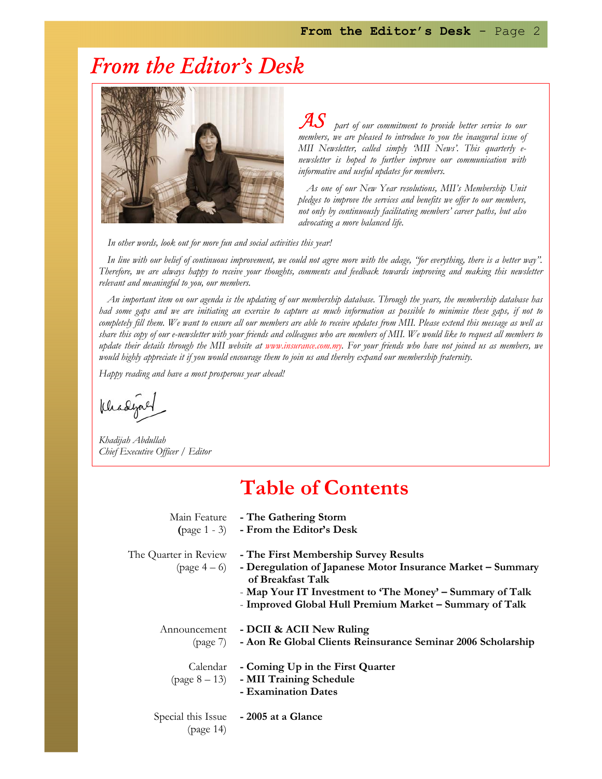# From the Editor's Desk



 $\overline{\mathcal{A}}S$  part of our commitment to provide better service to our members, we are pleased to introduce to you the inaugural issue of MII Newsletter, called simply 'MII News'. This quarterly enewsletter is hoped to further improve our communication with informative and useful updates for members.

As one of our New Year resolutions, MII's Membership Unit pledges to improve the services and benefits we offer to our members, not only by continuously facilitating members' career paths, but also advocating a more balanced life.

In other words, look out for more fun and social activities this year!

In line with our belief of continuous improvement, we could not agree more with the adage, "for everything, there is a better way". Therefore, we are always happy to receive your thoughts, comments and feedback towards improving and making this newsletter relevant and meaningful to you, our members.

An important item on our agenda is the updating of our membership database. Through the years, the membership database has had some gaps and we are initiating an exercise to capture as much information as possible to minimise these gaps, if not to completely fill them. We want to ensure all our members are able to receive updates from MII. Please extend this message as well as share this copy of our e-newsletter with your friends and colleagues who are members of MII. We would like to request all members to update their details through the MII website at www.insurance.com.my. For your friends who have not joined us as members, we would highly appreciate it if you would encourage them to join us and thereby expand our membership fraternity.

Happy reading and have a most prosperous year ahead!

Chadya

Khadijah Abdullah Chief Executive Officer / Editor

## Table of Contents

|                       | Main Feature - The Gathering Storm<br>(page 1 - 3) - From the Editor's Desk                                                                                                                                                                                           |
|-----------------------|-----------------------------------------------------------------------------------------------------------------------------------------------------------------------------------------------------------------------------------------------------------------------|
| The Quarter in Review | - The First Membership Survey Results<br>$\text{(page 4-6)}$ - Deregulation of Japanese Motor Insurance Market – Summary<br>of Breakfast Talk<br>- Map Your IT Investment to 'The Money' – Summary of Talk<br>- Improved Global Hull Premium Market - Summary of Talk |
| Announcement          | - DCII & ACII New Ruling<br>(page 7) - Aon Re Global Clients Reinsurance Seminar 2006 Scholarship                                                                                                                                                                     |
|                       | Calendar - Coming Up in the First Quarter<br>$\text{(page 8-13)}$ - MII Training Schedule<br>- Examination Dates                                                                                                                                                      |
| (page 14)             | Special this Issue - 2005 at a Glance                                                                                                                                                                                                                                 |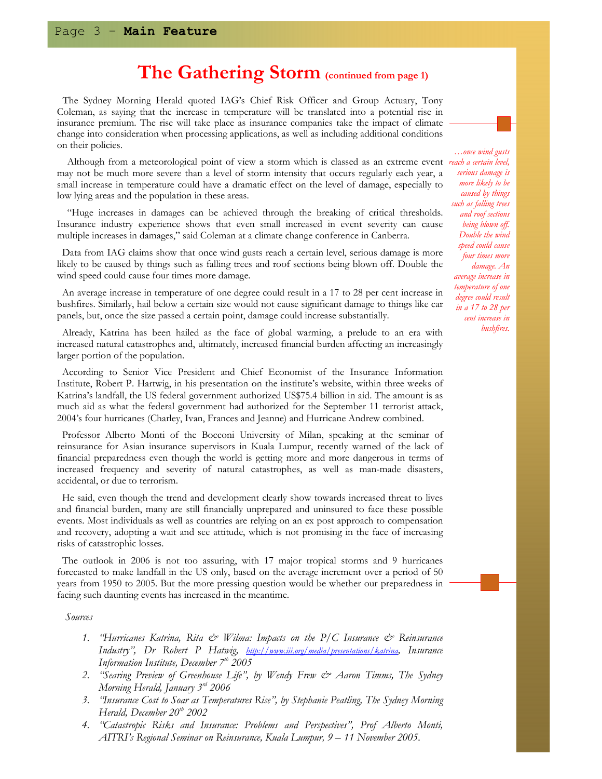## The Gathering Storm (continued from page 1)

 The Sydney Morning Herald quoted IAG's Chief Risk Officer and Group Actuary, Tony Coleman, as saying that the increase in temperature will be translated into a potential rise in insurance premium. The rise will take place as insurance companies take the impact of climate change into consideration when processing applications, as well as including additional conditions on their policies.

Although from a meteorological point of view a storm which is classed as an extreme event reach a certain level, may not be much more severe than a level of storm intensity that occurs regularly each year, a small increase in temperature could have a dramatic effect on the level of damage, especially to low lying areas and the population in these areas.

 "Huge increases in damages can be achieved through the breaking of critical thresholds. Insurance industry experience shows that even small increased in event severity can cause multiple increases in damages," said Coleman at a climate change conference in Canberra.

 Data from IAG claims show that once wind gusts reach a certain level, serious damage is more likely to be caused by things such as falling trees and roof sections being blown off. Double the wind speed could cause four times more damage.

 An average increase in temperature of one degree could result in a 17 to 28 per cent increase in bushfires. Similarly, hail below a certain size would not cause significant damage to things like car panels, but, once the size passed a certain point, damage could increase substantially.

 Already, Katrina has been hailed as the face of global warming, a prelude to an era with increased natural catastrophes and, ultimately, increased financial burden affecting an increasingly larger portion of the population.

 According to Senior Vice President and Chief Economist of the Insurance Information Institute, Robert P. Hartwig, in his presentation on the institute's website, within three weeks of Katrina's landfall, the US federal government authorized US\$75.4 billion in aid. The amount is as much aid as what the federal government had authorized for the September 11 terrorist attack, 2004's four hurricanes (Charley, Ivan, Frances and Jeanne) and Hurricane Andrew combined.

 Professor Alberto Monti of the Bocconi University of Milan, speaking at the seminar of reinsurance for Asian insurance supervisors in Kuala Lumpur, recently warned of the lack of financial preparedness even though the world is getting more and more dangerous in terms of increased frequency and severity of natural catastrophes, as well as man-made disasters, accidental, or due to terrorism.

 He said, even though the trend and development clearly show towards increased threat to lives and financial burden, many are still financially unprepared and uninsured to face these possible events. Most individuals as well as countries are relying on an ex post approach to compensation and recovery, adopting a wait and see attitude, which is not promising in the face of increasing risks of catastrophic losses.

 The outlook in 2006 is not too assuring, with 17 major tropical storms and 9 hurricanes forecasted to make landfall in the US only, based on the average increment over a period of 50 years from 1950 to 2005. But the more pressing question would be whether our preparedness in facing such daunting events has increased in the meantime.

Sources

- 1. "Hurricanes Katrina, Rita  $\mathcal O \subset W$ ilma: Impacts on the P/C Insurance  $\mathcal O \subset W$  Reinsurance Industry", Dr Robert P Hatwig, *http://www.iii.org/media/presentations/katrina*, Insurance Information Institute, December  $7<sup>th</sup>$  2005
- 2. "Searing Preview of Greenhouse Life", by Wendy Frew & Aaron Timms, The Sydney Morning Herald, January  $3<sup>rd</sup>$  2006
- 3. "Insurance Cost to Soar as Temperatures Rise", by Stephanie Peatling, The Sydney Morning Herald, December  $20^{th}$  2002
- 4. "Catastropic Risks and Insurance: Problems and Perspectives", Prof Alberto Monti, AITRI's Regional Seminar on Reinsurance, Kuala Lumpur, 9 – 11 November 2005.

…once wind gusts serious damage is more likely to be caused by things such as falling trees and roof sections being blown off. Double the wind speed could cause four times more damage. An average increase in temperature of one degree could result in a 17 to 28 per cent increase in bushfires.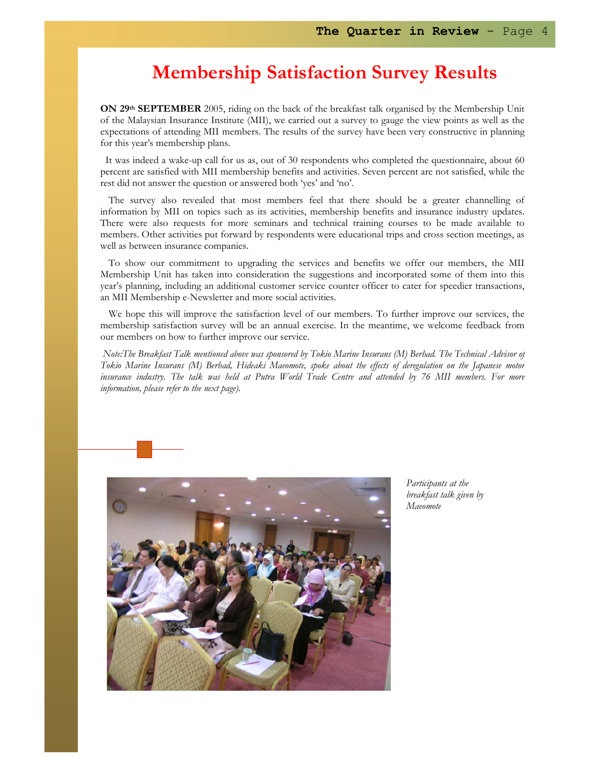## Membership Satisfaction Survey Results

ON 29<sup>th</sup> SEPTEMBER 2005, riding on the back of the breakfast talk organised by the Membership Unit of the Malaysian Insurance Institute (MII), we carried out a survey to gauge the view points as well as the expectations of attending MII members. The results of the survey have been very constructive in planning for this year's membership plans.

 It was indeed a wake-up call for us as, out of 30 respondents who completed the questionnaire, about 60 percent are satisfied with MII membership benefits and activities. Seven percent are not satisfied, while the rest did not answer the question or answered both 'yes' and 'no'.

The survey also revealed that most members feel that there should be a greater channelling of information by MII on topics such as its activities, membership benefits and insurance industry updates. There were also requests for more seminars and technical training courses to be made available to members. Other activities put forward by respondents were educational trips and cross section meetings, as well as between insurance companies.

To show our commitment to upgrading the services and benefits we offer our members, the MII Membership Unit has taken into consideration the suggestions and incorporated some of them into this year's planning, including an additional customer service counter officer to cater for speedier transactions, an MII Membership e-Newsletter and more social activities.

We hope this will improve the satisfaction level of our members. To further improve our services, the membership satisfaction survey will be an annual exercise. In the meantime, we welcome feedback from our members on how to further improve our service.

Note:The Breakfast Talk mentioned above was sponsored by Tokio Marine Insurans (M) Berhad. The Technical Advisor of Tokio Marine Insurans (M) Berhad, Hideaki Maeomote, spoke about the effects of deregulation on the Japanese motor insurance industry. The talk was held at Putra World Trade Centre and attended by 76 MII members. For more information, please refer to the next page).



Participants at the breakfast talk given by Maeomote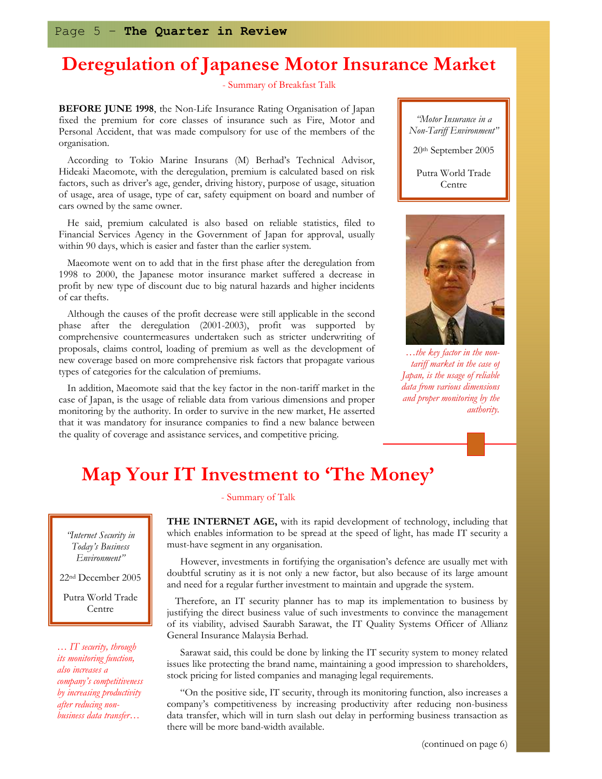# Deregulation of Japanese Motor Insurance Market

- Summary of Breakfast Talk

BEFORE JUNE 1998, the Non-Life Insurance Rating Organisation of Japan fixed the premium for core classes of insurance such as Fire, Motor and Personal Accident, that was made compulsory for use of the members of the organisation.

According to Tokio Marine Insurans (M) Berhad's Technical Advisor, Hideaki Maeomote, with the deregulation, premium is calculated based on risk factors, such as driver's age, gender, driving history, purpose of usage, situation of usage, area of usage, type of car, safety equipment on board and number of cars owned by the same owner.

He said, premium calculated is also based on reliable statistics, filed to Financial Services Agency in the Government of Japan for approval, usually within 90 days, which is easier and faster than the earlier system.

Maeomote went on to add that in the first phase after the deregulation from 1998 to 2000, the Japanese motor insurance market suffered a decrease in profit by new type of discount due to big natural hazards and higher incidents of car thefts.

Although the causes of the profit decrease were still applicable in the second phase after the deregulation (2001-2003), profit was supported by comprehensive countermeasures undertaken such as stricter underwriting of proposals, claims control, loading of premium as well as the development of new coverage based on more comprehensive risk factors that propagate various types of categories for the calculation of premiums.

In addition, Maeomote said that the key factor in the non-tariff market in the case of Japan, is the usage of reliable data from various dimensions and proper monitoring by the authority. In order to survive in the new market, He asserted that it was mandatory for insurance companies to find a new balance between the quality of coverage and assistance services, and competitive pricing.





…the key factor in the nontariff market in the case of Japan, is the usage of reliable data from various dimensions and proper monitoring by the authority.

## Map Your IT Investment to 'The Money'

### - Summary of Talk

THE INTERNET AGE, with its rapid development of technology, including that which enables information to be spread at the speed of light, has made IT security a must-have segment in any organisation.

 However, investments in fortifying the organisation's defence are usually met with doubtful scrutiny as it is not only a new factor, but also because of its large amount and need for a regular further investment to maintain and upgrade the system.

Therefore, an IT security planner has to map its implementation to business by justifying the direct business value of such investments to convince the management of its viability, advised Saurabh Sarawat, the IT Quality Systems Officer of Allianz General Insurance Malaysia Berhad.

 Sarawat said, this could be done by linking the IT security system to money related issues like protecting the brand name, maintaining a good impression to shareholders, stock pricing for listed companies and managing legal requirements.

 "On the positive side, IT security, through its monitoring function, also increases a company's competitiveness by increasing productivity after reducing non-business data transfer, which will in turn slash out delay in performing business transaction as there will be more band-width available.

"Internet Security in Today's Business

Environment" 22nd December 2005

Putra World Trade Centre

… IT security, through its monitoring function, also increases a company's competitiveness by increasing productivity after reducing nonbusiness data transfer…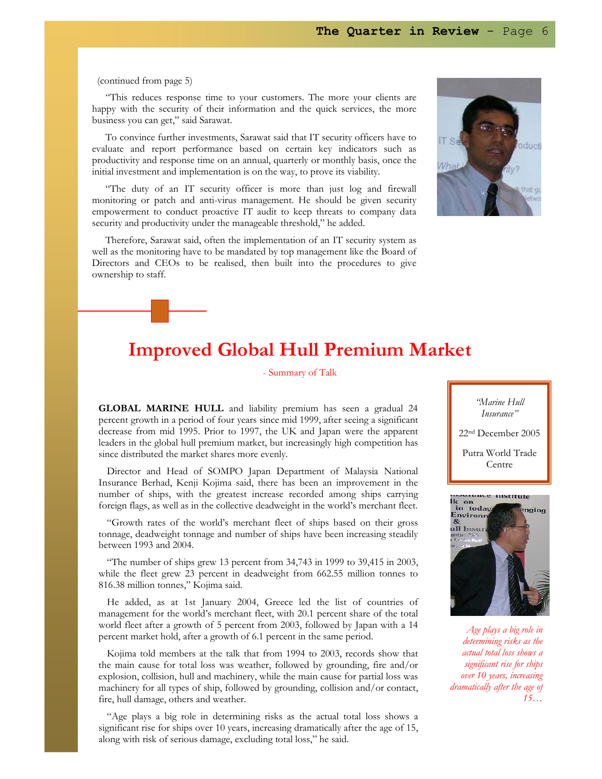### (continued from page 5)

 "This reduces response time to your customers. The more your clients are happy with the security of their information and the quick services, the more business you can get," said Sarawat.

 To convince further investments, Sarawat said that IT security officers have to evaluate and report performance based on certain key indicators such as productivity and response time on an annual, quarterly or monthly basis, once the initial investment and implementation is on the way, to prove its viability.

 "The duty of an IT security officer is more than just log and firewall monitoring or patch and anti-virus management. He should be given security empowerment to conduct proactive IT audit to keep threats to company data security and productivity under the manageable threshold," he added.

 Therefore, Sarawat said, often the implementation of an IT security system as well as the monitoring have to be mandated by top management like the Board of Directors and CEOs to be realised, then built into the procedures to give ownership to staff.



## Improved Global Hull Premium Market

- Summary of Talk

GLOBAL MARINE HULL and liability premium has seen a gradual 24 percent growth in a period of four years since mid 1999, after seeing a significant decrease from mid 1995. Prior to 1997, the UK and Japan were the apparent leaders in the global hull premium market, but increasingly high competition has since distributed the market shares more evenly.

Director and Head of SOMPO Japan Department of Malaysia National Insurance Berhad, Kenji Kojima said, there has been an improvement in the number of ships, with the greatest increase recorded among ships carrying foreign flags, as well as in the collective deadweight in the world's merchant fleet.

"Growth rates of the world's merchant fleet of ships based on their gross tonnage, deadweight tonnage and number of ships have been increasing steadily between 1993 and 2004.

"The number of ships grew 13 percent from 34,743 in 1999 to 39,415 in 2003, while the fleet grew 23 percent in deadweight from 662.55 million tonnes to 816.38 million tonnes," Kojima said.

He added, as at 1st January 2004, Greece led the list of countries of management for the world's merchant fleet, with 20.1 percent share of the total world fleet after a growth of 5 percent from 2003, followed by Japan with a 14 percent market hold, after a growth of 6.1 percent in the same period.

Kojima told members at the talk that from 1994 to 2003, records show that the main cause for total loss was weather, followed by grounding, fire and/or explosion, collision, hull and machinery, while the main cause for partial loss was machinery for all types of ship, followed by grounding, collision and/or contact, fire, hull damage, others and weather.

"Age plays a big role in determining risks as the actual total loss shows a significant rise for ships over 10 years, increasing dramatically after the age of 15, along with risk of serious damage, excluding total loss," he said.

"Marine Hull Insurance"

22nd December 2005

Putra World Trade Centre



Age plays a big role in determining risks as the actual total loss shows a significant rise for ships over 10 years, increasing dramatically after the age of  $15...$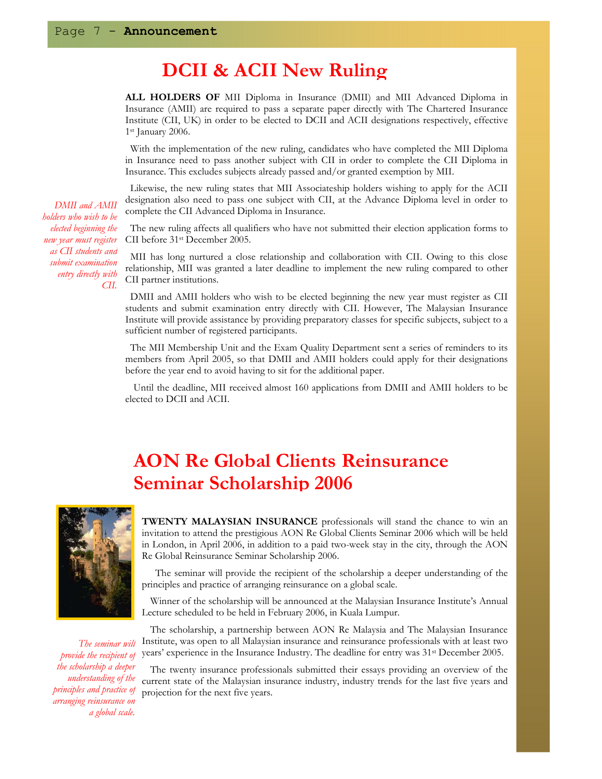## DCII & ACII New Ruling

ALL HOLDERS OF MII Diploma in Insurance (DMII) and MII Advanced Diploma in Insurance (AMII) are required to pass a separate paper directly with The Chartered Insurance Institute (CII, UK) in order to be elected to DCII and ACII designations respectively, effective 1st January 2006.

 With the implementation of the new ruling, candidates who have completed the MII Diploma in Insurance need to pass another subject with CII in order to complete the CII Diploma in Insurance. This excludes subjects already passed and/or granted exemption by MII.

 Likewise, the new ruling states that MII Associateship holders wishing to apply for the ACII designation also need to pass one subject with CII, at the Advance Diploma level in order to complete the CII Advanced Diploma in Insurance.

 The new ruling affects all qualifiers who have not submitted their election application forms to CII before 31st December 2005.

 MII has long nurtured a close relationship and collaboration with CII. Owing to this close relationship, MII was granted a later deadline to implement the new ruling compared to other CII partner institutions.

 DMII and AMII holders who wish to be elected beginning the new year must register as CII students and submit examination entry directly with CII. However, The Malaysian Insurance Institute will provide assistance by providing preparatory classes for specific subjects, subject to a sufficient number of registered participants.

 The MII Membership Unit and the Exam Quality Department sent a series of reminders to its members from April 2005, so that DMII and AMII holders could apply for their designations before the year end to avoid having to sit for the additional paper.

Until the deadline, MII received almost 160 applications from DMII and AMII holders to be elected to DCII and ACII.

# AON Re Global Clients Reinsurance Seminar Scholarship 2006



 The seminar will provide the recipient of the scholarship a deeper understanding of the principles and practice of arranging reinsurance on a global scale.

**TWENTY MALAYSIAN INSURANCE** professionals will stand the chance to win an invitation to attend the prestigious AON Re Global Clients Seminar 2006 which will be held in London, in April 2006, in addition to a paid two-week stay in the city, through the AON Re Global Reinsurance Seminar Scholarship 2006.

 The seminar will provide the recipient of the scholarship a deeper understanding of the principles and practice of arranging reinsurance on a global scale.

Winner of the scholarship will be announced at the Malaysian Insurance Institute's Annual Lecture scheduled to be held in February 2006, in Kuala Lumpur.

The scholarship, a partnership between AON Re Malaysia and The Malaysian Insurance Institute, was open to all Malaysian insurance and reinsurance professionals with at least two years' experience in the Insurance Industry. The deadline for entry was 31st December 2005.

The twenty insurance professionals submitted their essays providing an overview of the current state of the Malaysian insurance industry, industry trends for the last five years and projection for the next five years.

DMII and AMII holders who wish to be elected beginning the new year must register as CII students and submit examination entry directly with CII.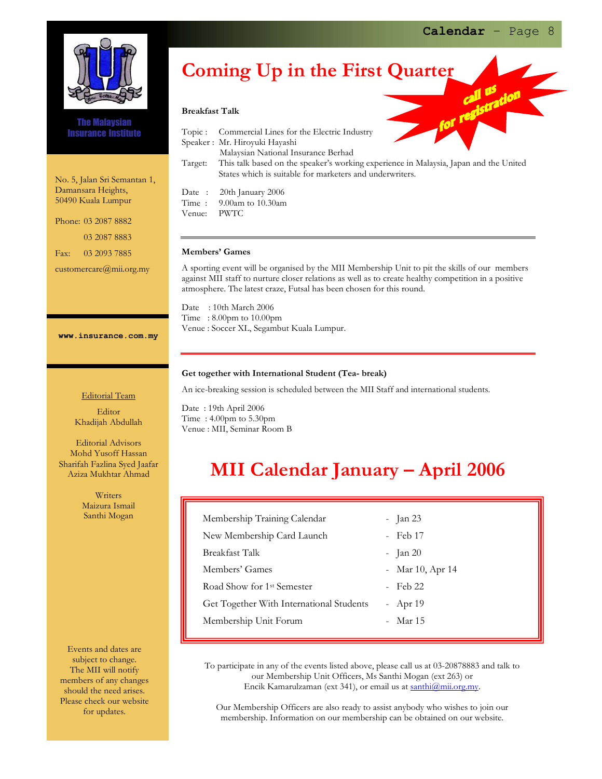

The Malaysian Insurance Institute

 No. 5, Jalan Sri Semantan 1, Damansara Heights, 50490 Kuala Lumpur

 Phone: 03 2087 8882 03 2087 8883 Fax: 03 2093 7885

customercare@mii.org.my

# Coming Up in the First Quarter

#### Breakfast Talk

|         | $\mathbf{v}$                                                                          |
|---------|---------------------------------------------------------------------------------------|
| Topic : | Commercial Lines for the Electric Industry                                            |
|         | Speaker: Mr. Hiroyuki Hayashi                                                         |
|         | Malaysian National Insurance Berhad                                                   |
| Target: | This talk based on the speaker's working experience in Malaysia, Japan and the United |
|         | States which is suitable for marketers and underwriters.                              |
|         | Date: 20th January 2006                                                               |
|         | Time: $9.00$ am to $10.30$ am                                                         |
| Venue:  | PWTC                                                                                  |

#### Members' Games

A sporting event will be organised by the MII Membership Unit to pit the skills of our members against MII staff to nurture closer relations as well as to create healthy competition in a positive atmosphere. The latest craze, Futsal has been chosen for this round.

Date : 10th March 2006 Time : 8.00pm to 10.00pm Venue : Soccer XL, Segambut Kuala Lumpur.

### Get together with International Student (Tea- break)

An ice-breaking session is scheduled between the MII Staff and international students.

Date : 19th April 2006 Time : 4.00pm to 5.30pm Venue : MII, Seminar Room B

## MII Calendar January – April 2006

| Membership Training Calendar             | $-$ Jan 23       |
|------------------------------------------|------------------|
| New Membership Card Launch               | - Feb 17         |
| Breakfast Talk                           | $-$ Jan 20       |
| Members' Games                           | - Mar 10, Apr 14 |
| Road Show for 1 <sup>st</sup> Semester   | - Feb 22         |
| Get Together With International Students | - Apr $19$       |
| Membership Unit Forum                    | - Mar 15         |
|                                          |                  |

To participate in any of the events listed above, please call us at 03-20878883 and talk to our Membership Unit Officers, Ms Santhi Mogan (ext 263) or Encik Kamarulzaman (ext 341), or email us at santhi@mii.org.my.

Our Membership Officers are also ready to assist anybody who wishes to join our membership. Information on our membership can be obtained on our website.

Editorial Team

www.insurance.com.my

Editor Khadijah Abdullah

Editorial Advisors Mohd Yusoff Hassan Sharifah Fazlina Syed Jaafar Aziza Mukhtar Ahmad

> Writers Maizura Ismail Santhi Mogan

Events and dates are subject to change. The MII will notify members of any changes should the need arises. Please check our website for updates.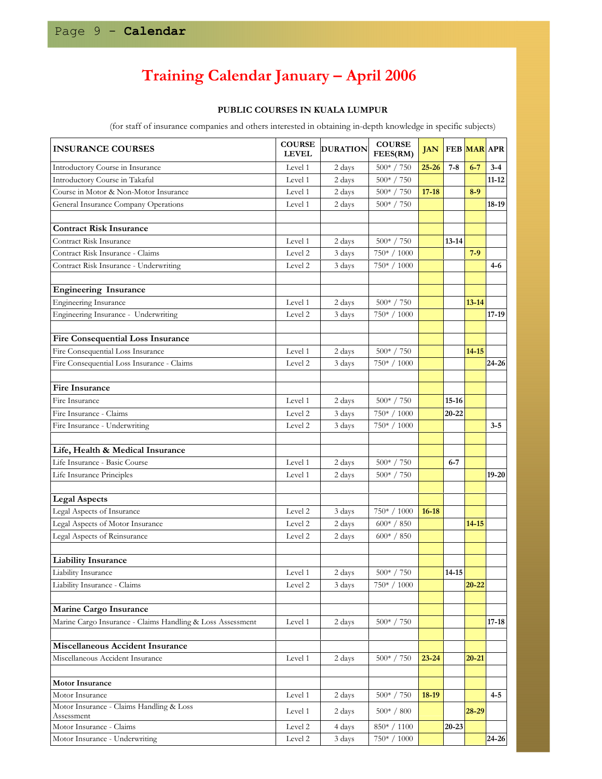# Training Calendar January – April 2006

### PUBLIC COURSES IN KUALA LUMPUR

(for staff of insurance companies and others interested in obtaining in-depth knowledge in specific subjects)

| <b>INSURANCE COURSES</b>                                   | <b>COURSE</b><br><b>LEVEL</b> | <b>DURATION</b> | <b>COURSE</b><br>FEES(RM)  |           | <b>JAN FEB MAR APR</b> |           |           |
|------------------------------------------------------------|-------------------------------|-----------------|----------------------------|-----------|------------------------|-----------|-----------|
| Introductory Course in Insurance                           | Level 1                       | 2 days          | $500* / 750$               | $25 - 26$ | $7 - 8$                | $6 - 7$   | $3 - 4$   |
| Introductory Course in Takaful                             | Level 1                       | 2 days          | $500* / 750$               |           |                        |           | $11 - 12$ |
| Course in Motor & Non-Motor Insurance                      | Level 1                       | 2 days          | $500* / 750$               | $17 - 18$ |                        | $8 - 9$   |           |
| General Insurance Company Operations                       | Level 1                       | 2 days          | 500* / 750                 |           |                        |           | 18-19     |
|                                                            |                               |                 |                            |           |                        |           |           |
| <b>Contract Risk Insurance</b>                             |                               |                 |                            |           |                        |           |           |
| Contract Risk Insurance                                    | Level 1                       | 2 days          | $500* / 750$               |           | $13 - 14$              |           |           |
| Contract Risk Insurance - Claims                           | Level 2                       | 3 days          | 750* / 1000                |           |                        | $7-9$     |           |
| Contract Risk Insurance - Underwriting                     | Level 2                       | 3 days          | 750* / 1000                |           |                        |           | 4-6       |
|                                                            |                               |                 |                            |           |                        |           |           |
| <b>Engineering Insurance</b>                               |                               |                 |                            |           |                        |           |           |
| <b>Engineering Insurance</b>                               | Level 1                       | 2 days          | $500* / 750$               |           |                        | $13 - 14$ |           |
| Engineering Insurance - Underwriting                       | Level 2                       | 3 days          | 750* / 1000                |           |                        |           | 17-19     |
|                                                            |                               |                 |                            |           |                        |           |           |
| <b>Fire Consequential Loss Insurance</b>                   |                               |                 |                            |           |                        |           |           |
| Fire Consequential Loss Insurance                          | Level 1                       | 2 days          | $500* / 750$               |           |                        | $14 - 15$ |           |
| Fire Consequential Loss Insurance - Claims                 | Level 2                       | 3 days          | $750* / 1000$              |           |                        |           | 24-26     |
|                                                            |                               |                 |                            |           |                        |           |           |
| Fire Insurance                                             |                               |                 |                            |           |                        |           |           |
| Fire Insurance                                             | Level 1                       | 2 days          | $500* / 750$               |           | $15 - 16$              |           |           |
| Fire Insurance - Claims                                    | Level 2                       | 3 days          | 750* / 1000                |           | 20-22                  |           |           |
| Fire Insurance - Underwriting                              | Level 2                       | 3 days          | 750* / 1000                |           |                        |           | $3 - 5$   |
|                                                            |                               |                 |                            |           |                        |           |           |
| Life, Health & Medical Insurance                           |                               |                 |                            |           |                        |           |           |
| Life Insurance - Basic Course                              | Level 1                       | 2 days          | $500* / 750$               |           | $6 - 7$                |           |           |
| Life Insurance Principles                                  | Level 1                       | 2 days          | $500^{\mathrm{*}}$ / $750$ |           |                        |           | $19 - 20$ |
|                                                            |                               |                 |                            |           |                        |           |           |
| <b>Legal Aspects</b>                                       |                               |                 |                            |           |                        |           |           |
| Legal Aspects of Insurance                                 | Level 2                       | 3 days          | 750* / 1000                | $16 - 18$ |                        |           |           |
| Legal Aspects of Motor Insurance                           | Level 2                       | 2 days          | $600* / 850$               |           |                        | $14 - 15$ |           |
| Legal Aspects of Reinsurance                               | Level 2                       | 2 days          | $600* / 850$               |           |                        |           |           |
|                                                            |                               |                 |                            |           |                        |           |           |
| <b>Liability Insurance</b>                                 |                               |                 |                            |           |                        |           |           |
| Liability Insurance                                        | Level 1                       | 2 days          | $500* / 750$               |           | $14 - 15$              |           |           |
| Liability Insurance - Claims                               | Level 2                       | 3 days          | 750* / 1000                |           |                        | $20 - 22$ |           |
|                                                            |                               |                 |                            |           |                        |           |           |
| Marine Cargo Insurance                                     |                               |                 |                            |           |                        |           |           |
| Marine Cargo Insurance - Claims Handling & Loss Assessment | Level 1                       | 2 days          | $500* / 750$               |           |                        |           | $17 - 18$ |
|                                                            |                               |                 |                            |           |                        |           |           |
| Miscellaneous Accident Insurance                           |                               |                 |                            |           |                        |           |           |
| Miscellaneous Accident Insurance                           | Level 1                       | 2 days          | $500* / 750$               | $23 - 24$ |                        | $20 - 21$ |           |
|                                                            |                               |                 |                            |           |                        |           |           |
| <b>Motor Insurance</b>                                     |                               |                 |                            |           |                        |           |           |
| Motor Insurance                                            | Level 1                       | 2 days          | $500^{\circ}$ / $750$      | $18-19$   |                        |           | $4 - 5$   |
| Motor Insurance - Claims Handling & Loss                   |                               |                 |                            |           |                        |           |           |
| Assessment                                                 | Level 1                       | 2 days          | $500* / 800$               |           |                        | $28 - 29$ |           |
| Motor Insurance - Claims                                   | Level 2                       | 4 days          | 850*/1100                  |           | $20 - 23$              |           |           |
| Motor Insurance - Underwriting                             | Level 2                       | 3 days          | 750* / 1000                |           |                        |           | 24-26     |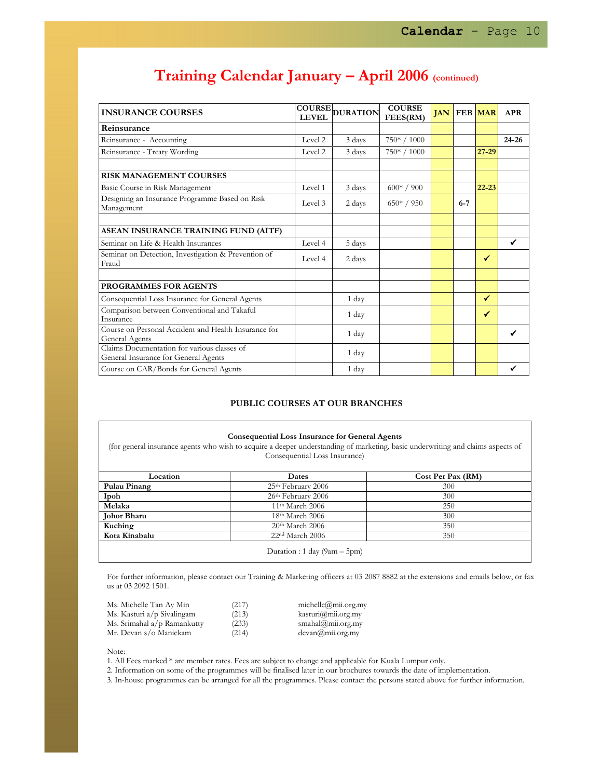| <b>INSURANCE COURSES</b>                                                            |         | COURSE DURATION | <b>COURSE</b><br>FEES(RM) | <b>JAN</b> |         | <b>FEB</b> MAR | <b>APR</b>   |
|-------------------------------------------------------------------------------------|---------|-----------------|---------------------------|------------|---------|----------------|--------------|
| Reinsurance                                                                         |         |                 |                           |            |         |                |              |
| Reinsurance - Accounting                                                            | Level 2 | 3 days          | 750* / 1000               |            |         |                | $24 - 26$    |
| Reinsurance - Treaty Wording                                                        | Level 2 | 3 days          | $750* / 1000$             |            |         | $27 - 29$      |              |
|                                                                                     |         |                 |                           |            |         |                |              |
| <b>RISK MANAGEMENT COURSES</b>                                                      |         |                 |                           |            |         |                |              |
| Basic Course in Risk Management                                                     | Level 1 | 3 days          | $600* / 900$              |            |         | $22 - 23$      |              |
| Designing an Insurance Programme Based on Risk<br>Management                        | Level 3 | 2 days          | $650* / 950$              |            | $6 - 7$ |                |              |
|                                                                                     |         |                 |                           |            |         |                |              |
| ASEAN INSURANCE TRAINING FUND (AITF)                                                |         |                 |                           |            |         |                |              |
| Seminar on Life & Health Insurances                                                 | Level 4 | 5 days          |                           |            |         |                | $\checkmark$ |
| Seminar on Detection, Investigation & Prevention of<br>Fraud                        | Level 4 | 2 days          |                           |            |         | $\checkmark$   |              |
|                                                                                     |         |                 |                           |            |         |                |              |
| <b>PROGRAMMES FOR AGENTS</b>                                                        |         |                 |                           |            |         |                |              |
| Consequential Loss Insurance for General Agents                                     |         | 1 day           |                           |            |         | ✓              |              |
| Comparison between Conventional and Takaful<br>Insurance                            |         | 1 day           |                           |            |         | ✔              |              |
| Course on Personal Accident and Health Insurance for<br>General Agents              |         | 1 day           |                           |            |         |                | ✔            |
| Claims Documentation for various classes of<br>General Insurance for General Agents |         | 1 day           |                           |            |         |                |              |
| Course on CAR/Bonds for General Agents                                              |         | 1 day           |                           |            |         |                |              |

## Training Calendar January – April 2006 (continued)

#### PUBLIC COURSES AT OUR BRANCHES

### Consequential Loss Insurance for General Agents

(for general insurance agents who wish to acquire a deeper understanding of marketing, basic underwriting and claims aspects of Consequential Loss Insurance)

| Location           | Dates                          | Cost Per Pax (RM) |
|--------------------|--------------------------------|-------------------|
| Pulau Pinang       | 25th February 2006             | 300               |
| Ipoh               | 26th February 2006             | 300               |
| Melaka             | 11 <sup>th</sup> March 2006    | 250               |
| <b>Johor Bharu</b> | $18th$ March 2006              | 300               |
| Kuching            | 20 <sup>th</sup> March 2006    | 350               |
| Kota Kinabalu      | 22 <sup>nd</sup> March 2006    | 350               |
|                    | Duration : 1 day $(9am - 5pm)$ |                   |

For further information, please contact our Training & Marketing officers at 03 2087 8882 at the extensions and emails below, or fax us at 03 2092 1501.

| (217) | michelle@mii.org.my                      |
|-------|------------------------------------------|
| (213) | kasturi@mii.org.my                       |
| (233) | smahal@mii.org.my                        |
| (214) | $devan(\theta, \text{mi.org}.\text{my})$ |
|       |                                          |

Note:

1. All Fees marked \* are member rates. Fees are subject to change and applicable for Kuala Lumpur only.

2. Information on some of the programmes will be finalised later in our brochures towards the date of implementation.

3. In-house programmes can be arranged for all the programmes. Please contact the persons stated above for further information.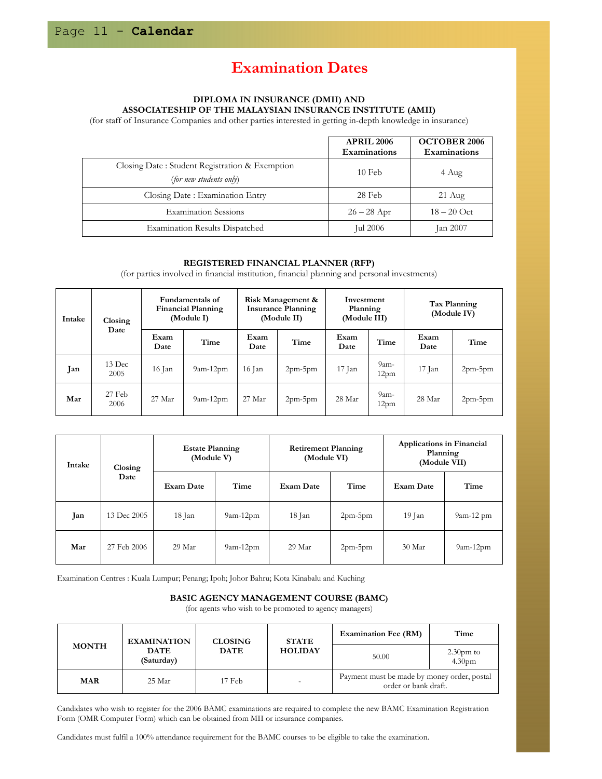### Examination Dates

### DIPLOMA IN INSURANCE (DMII) AND ASSOCIATESHIP OF THE MALAYSIAN INSURANCE INSTITUTE (AMII)

(for staff of Insurance Companies and other parties interested in getting in-depth knowledge in insurance)

|                                                                           | <b>APRIL 2006</b><br>Examinations | <b>OCTOBER 2006</b><br>Examinations |
|---------------------------------------------------------------------------|-----------------------------------|-------------------------------------|
| Closing Date: Student Registration & Exemption<br>(for new students only) | $10$ Feb                          | 4 Aug                               |
| Closing Date: Examination Entry                                           | 28 Feb                            | $21 \text{ Aug}$                    |
| <b>Examination Sessions</b>                                               | $26 - 28$ Apr                     | $18 - 20$ Oct                       |
| <b>Examination Results Dispatched</b>                                     | Jul 2006                          | $\tan 2007$                         |

### REGISTERED FINANCIAL PLANNER (RFP)

(for parties involved in financial institution, financial planning and personal investments)

| Intake | Closing<br>Date  |              | <b>Fundamentals of</b><br><b>Financial Planning</b><br>(Module I) |              | Risk Management &<br><b>Insurance Planning</b><br>(Module II) |              | Investment<br>Planning<br>(Module III) |              | Tax Planning<br>(Module IV) |
|--------|------------------|--------------|-------------------------------------------------------------------|--------------|---------------------------------------------------------------|--------------|----------------------------------------|--------------|-----------------------------|
|        |                  | Exam<br>Date | Time                                                              | Exam<br>Date | Time                                                          | Exam<br>Date | Time                                   | Exam<br>Date | Time                        |
| Jan    | 13 Dec<br>2005   | $16$ Jan     | $9am-12pm$                                                        | 16 Jan       | $2pm-5pm$                                                     | 17 Jan       | $9am-$<br>12 <sub>pm</sub>             | 17 Jan       | $2pm-5pm$                   |
| Mar    | $27$ Feb<br>2006 | 27 Mar       | $9am-12pm$                                                        | 27 Mar       | $2pm-5pm$                                                     | 28 Mar       | $9am-$<br>12 <sub>pm</sub>             | 28 Mar       | $2pm-5pm$                   |

| <b>Intake</b> | Closing     | <b>Estate Planning</b><br>(Module V) |            | <b>Retirement Planning</b><br>(Module VI) |           | Applications in Financial<br>Planning<br>(Module VII) |             |
|---------------|-------------|--------------------------------------|------------|-------------------------------------------|-----------|-------------------------------------------------------|-------------|
|               | Date        | <b>Exam Date</b>                     | Time       | <b>Exam Date</b>                          | Time      | <b>Exam Date</b>                                      | Time        |
| Jan           | 13 Dec 2005 | 18 Jan                               | $9am-12pm$ | 18 Jan                                    | $2pm-5pm$ | 19 Jan                                                | $9am-12 pm$ |
| Mar           | 27 Feb 2006 | 29 Mar                               | $9am-12pm$ | 29 Mar                                    | $2pm-5pm$ | 30 Mar                                                | $9am-12pm$  |

Examination Centres : Kuala Lumpur; Penang; Ipoh; Johor Bahru; Kota Kinabalu and Kuching

### BASIC AGENCY MANAGEMENT COURSE (BAMC)

(for agents who wish to be promoted to agency managers)

|              | <b>EXAMINATION</b>        | <b>CLOSING</b> | <b>STATE</b>   | <b>Examination Fee (RM)</b>                                         | Time                               |
|--------------|---------------------------|----------------|----------------|---------------------------------------------------------------------|------------------------------------|
| <b>MONTH</b> | <b>DATE</b><br>(Saturday) | <b>DATE</b>    | <b>HOLIDAY</b> | 50.00                                                               | $2.30$ pm to<br>4.30 <sub>pm</sub> |
| <b>MAR</b>   | 25 Mar                    | 17 Feb         |                | Payment must be made by money order, postal<br>order or bank draft. |                                    |

Candidates who wish to register for the 2006 BAMC examinations are required to complete the new BAMC Examination Registration Form (OMR Computer Form) which can be obtained from MII or insurance companies.

Candidates must fulfil a 100% attendance requirement for the BAMC courses to be eligible to take the examination.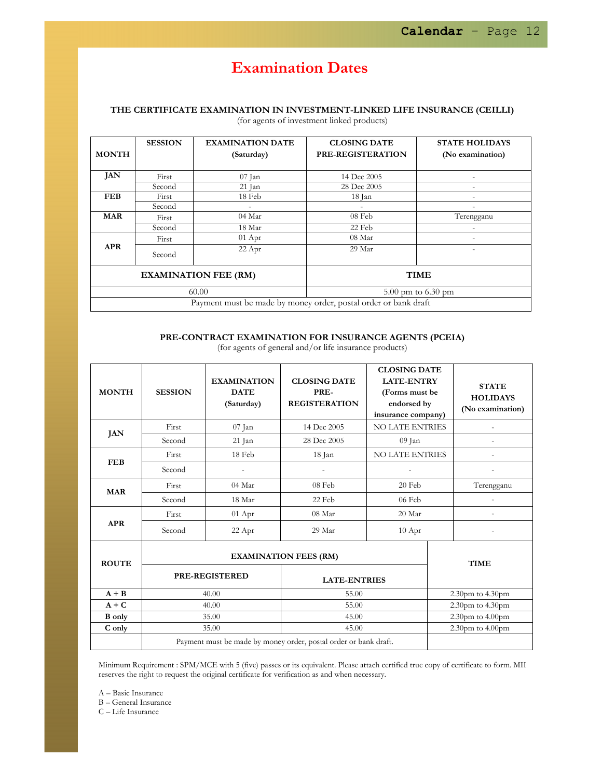### Examination Dates

### THE CERTIFICATE EXAMINATION IN INVESTMENT-LINKED LIFE INSURANCE (CEILLI) (for agents of investment linked products)

|                                                                 | <b>SESSION</b>                  | <b>EXAMINATION DATE</b>     | <b>CLOSING DATE</b> | <b>STATE HOLIDAYS</b>    |  |  |
|-----------------------------------------------------------------|---------------------------------|-----------------------------|---------------------|--------------------------|--|--|
| <b>MONTH</b>                                                    |                                 | (Saturday)                  | PRE-REGISTERATION   | (No examination)         |  |  |
| JAN                                                             | First                           | 07 Jan                      | 14 Dec 2005         |                          |  |  |
|                                                                 | Second                          | $21$ Jan                    | 28 Dec 2005         | $\overline{\phantom{a}}$ |  |  |
| <b>FEB</b>                                                      | First                           | 18 Feb                      | 18 Jan              |                          |  |  |
|                                                                 | Second                          |                             |                     |                          |  |  |
| <b>MAR</b>                                                      | First                           | 04 Mar                      | 08 Feb              | Terengganu               |  |  |
|                                                                 | Second                          | 18 Mar                      | 22 Feb              |                          |  |  |
|                                                                 | First                           | $01$ Apr                    | 08 Mar              |                          |  |  |
| <b>APR</b>                                                      | Second                          | 22 Apr                      | 29 Mar              |                          |  |  |
|                                                                 |                                 | <b>EXAMINATION FEE (RM)</b> |                     | <b>TIME</b>              |  |  |
|                                                                 | 60.00<br>$5.00$ pm to $6.30$ pm |                             |                     |                          |  |  |
| Payment must be made by money order, postal order or bank draft |                                 |                             |                     |                          |  |  |

### PRE-CONTRACT EXAMINATION FOR INSURANCE AGENTS (PCEIA)

| <b>MONTH</b>  | <b>SESSION</b>                                                   | <b>EXAMINATION</b><br><b>DATE</b><br>(Saturday) | <b>CLOSING DATE</b><br>PRE-<br><b>REGISTERATION</b> | <b>CLOSING DATE</b><br><b>LATE-ENTRY</b><br>(Forms must be<br>endorsed by<br>insurance company) |  | <b>STATE</b><br><b>HOLIDAYS</b><br>(No examination) |  |
|---------------|------------------------------------------------------------------|-------------------------------------------------|-----------------------------------------------------|-------------------------------------------------------------------------------------------------|--|-----------------------------------------------------|--|
| JAN           | First                                                            | 07 Jan                                          | 14 Dec 2005                                         | <b>NO LATE ENTRIES</b>                                                                          |  |                                                     |  |
|               | Second                                                           | 21 Jan                                          | 28 Dec 2005                                         | 09 Jan                                                                                          |  |                                                     |  |
| <b>FEB</b>    | First                                                            | 18 Feb                                          | 18 Jan                                              | <b>NO LATE ENTRIES</b>                                                                          |  |                                                     |  |
|               | Second                                                           |                                                 |                                                     |                                                                                                 |  |                                                     |  |
| <b>MAR</b>    | First                                                            | 04 Mar                                          | 08 Feb                                              | 20 Feb                                                                                          |  | Terengganu                                          |  |
|               | Second                                                           | 18 Mar                                          | 22 Feb                                              | 06 Feb                                                                                          |  |                                                     |  |
| <b>APR</b>    | First                                                            | $01$ Apr                                        | 08 Mar                                              | 20 Mar                                                                                          |  |                                                     |  |
|               | Second                                                           | 22 Apr                                          | 29 Mar                                              | $10$ Apr                                                                                        |  |                                                     |  |
| <b>ROUTE</b>  | <b>EXAMINATION FEES (RM)</b>                                     |                                                 |                                                     |                                                                                                 |  | <b>TIME</b>                                         |  |
|               | <b>PRE-REGISTERED</b>                                            |                                                 | <b>LATE-ENTRIES</b>                                 |                                                                                                 |  |                                                     |  |
| $A + B$       | 40.00                                                            |                                                 | 55.00                                               |                                                                                                 |  | 2.30pm to 4.30pm                                    |  |
| $A + C$       | 40.00                                                            |                                                 | 55.00                                               |                                                                                                 |  | 2.30pm to 4.30pm                                    |  |
| <b>B</b> only | 35.00                                                            |                                                 | 45.00                                               |                                                                                                 |  | $2.30$ pm to $4.00$ pm                              |  |
| C only        | 35.00                                                            |                                                 | 45.00                                               |                                                                                                 |  | $2.30$ pm to $4.00$ pm                              |  |
|               | Payment must be made by money order, postal order or bank draft. |                                                 |                                                     |                                                                                                 |  |                                                     |  |

(for agents of general and/or life insurance products)

Minimum Requirement : SPM/MCE with 5 (five) passes or its equivalent. Please attach certified true copy of certificate to form. MII reserves the right to request the original certificate for verification as and when necessary.

A – Basic Insurance

B – General Insurance

C – Life Insurance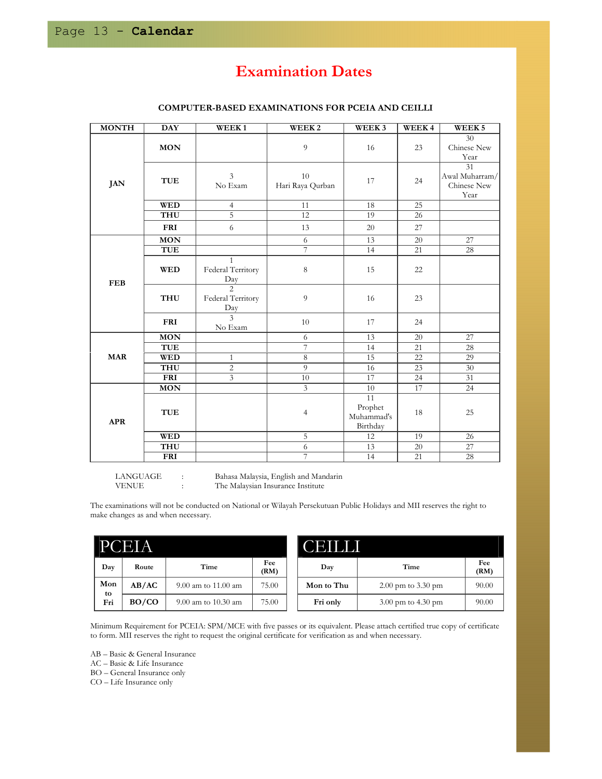### Examination Dates

| <b>MONTH</b> | <b>DAY</b> | WEEK1                                                     | WEEK <sub>2</sub>      | WEEK <sub>3</sub>                       | WEEK4  | WEEK <sub>5</sub>                           |  |
|--------------|------------|-----------------------------------------------------------|------------------------|-----------------------------------------|--------|---------------------------------------------|--|
|              | MON        |                                                           | 9                      | 16                                      | 23     | 30<br>Chinese New<br>Year                   |  |
| <b>JAN</b>   | TUE        | 3<br>No Exam                                              | 10<br>Hari Raya Qurban | 17                                      | 24     | 31<br>Awal Muharram/<br>Chinese New<br>Year |  |
|              | <b>WED</b> | 4                                                         | 11                     | 18                                      | 25     |                                             |  |
|              | THU        | $\overline{5}$                                            | 12                     | 19                                      | 26     |                                             |  |
|              | <b>FRI</b> | 6                                                         | 13                     | 20                                      | 27     |                                             |  |
|              | <b>MON</b> |                                                           | 6                      | 13                                      | 20     | 27                                          |  |
|              | <b>TUE</b> |                                                           | 7                      | 14                                      | 21     | 28                                          |  |
| <b>FEB</b>   | <b>WED</b> | $\mathbf{1}$<br>Federal Territory<br>$rac{\text{Day}}{2}$ | 8                      | 15                                      | 22     |                                             |  |
|              | <b>THU</b> | Federal Territory<br>Day                                  | 9                      | 16                                      | 23     |                                             |  |
|              | <b>FRI</b> | 3<br>No Exam                                              | 10                     | 17                                      | 24     |                                             |  |
| <b>MAR</b>   | <b>MON</b> |                                                           | 6                      | 13                                      | 20     | 27                                          |  |
|              | <b>TUE</b> |                                                           | 7                      | 14                                      | 21     | 28                                          |  |
|              | <b>WED</b> | $\mathbf{1}$                                              | $\,8\,$                | 15                                      | $22\,$ | 29                                          |  |
|              | <b>THU</b> | $\overline{c}$                                            | $\overline{9}$         | 16                                      | 23     | 30                                          |  |
|              | <b>FRI</b> | 3                                                         | 10                     | 17                                      | 24     | 31                                          |  |
| <b>APR</b>   | <b>MON</b> |                                                           | 3                      | 10                                      | 17     | 24                                          |  |
|              | <b>TUE</b> |                                                           | 4                      | 11<br>Prophet<br>Muhammad's<br>Birthday | 18     | 25                                          |  |
|              | <b>WED</b> |                                                           | 5                      | 12                                      | 19     | 26                                          |  |
|              | <b>THU</b> |                                                           | 6                      | 13                                      | 20     | 27                                          |  |
|              | <b>FRI</b> |                                                           | 7                      | 14                                      | 21     | 28                                          |  |

### COMPUTER-BASED EXAMINATIONS FOR PCEIA AND CEILLI

LANGUAGE : Bahasa Malaysia, English and Mandarin The Malaysian Insurance Institute

The examinations will not be conducted on National or Wilayah Persekutuan Public Holidays and MII reserves the right to make changes as and when necessary.

| E<br>A    |       |                         |             | Еï         |                        |             |  |
|-----------|-------|-------------------------|-------------|------------|------------------------|-------------|--|
| Day       | Route | Time                    | Fee<br>(RM) | Day        | Time                   | Fee<br>(RM) |  |
| Mon<br>to | AB/AC | 9.00 am to 11.00 am     | 75.00       | Mon to Thu | $2.00$ pm to $3.30$ pm | 90.00       |  |
| Fri       | BO/CO | $9.00$ am to $10.30$ am | 75.00       | Fri only   | $3.00$ pm to $4.30$ pm | 90.00       |  |

Minimum Requirement for PCEIA: SPM/MCE with five passes or its equivalent. Please attach certified true copy of certificate to form. MII reserves the right to request the original certificate for verification as and when necessary.

AB – Basic & General Insurance

AC – Basic & Life Insurance

BO – General Insurance only

CO – Life Insurance only